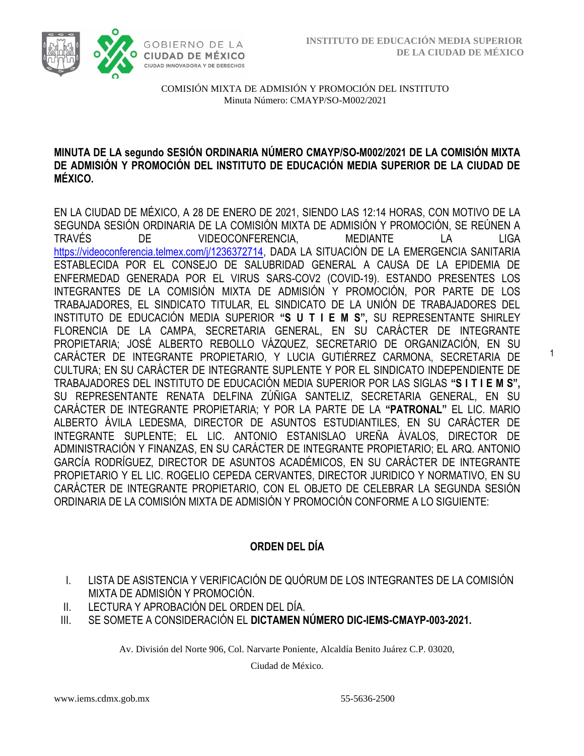1



COMISIÓN MIXTA DE ADMISIÓN Y PROMOCIÓN DEL INSTITUTO Minuta Número: CMAYP/SO-M002/2021

### **MINUTA DE LA segundo SESIÓN ORDINARIA NÚMERO CMAYP/SO-M002/2021 DE LA COMISIÓN MIXTA DE ADMISIÓN Y PROMOCIÓN DEL INSTITUTO DE EDUCACIÓN MEDIA SUPERIOR DE LA CIUDAD DE MÉXICO.**

EN LA CIUDAD DE MÉXICO, A 28 DE ENERO DE 2021, SIENDO LAS 12:14 HORAS, CON MOTIVO DE LA SEGUNDA SESIÓN ORDINARIA DE LA COMISIÓN MIXTA DE ADMISIÓN Y PROMOCIÓN, SE REÚNEN A TRAVÉS DE VIDEOCONFERENCIA, MEDIANTE LA LIGA [https://videoconferencia.telmex.com/j/1236372714,](https://videoconferencia.telmex.com/j/1236372714) DADA LA SITUACIÓN DE LA EMERGENCIA SANITARIA ESTABLECIDA POR EL CONSEJO DE SALUBRIDAD GENERAL A CAUSA DE LA EPIDEMIA DE ENFERMEDAD GENERADA POR EL VIRUS SARS-COV2 (COVID-19). ESTANDO PRESENTES LOS INTEGRANTES DE LA COMISIÓN MIXTA DE ADMISIÓN Y PROMOCIÓN, POR PARTE DE LOS TRABAJADORES, EL SINDICATO TITULAR, EL SINDICATO DE LA UNIÓN DE TRABAJADORES DEL INSTITUTO DE EDUCACIÓN MEDIA SUPERIOR **"S U T I E M S",** SU REPRESENTANTE SHIRLEY FLORENCIA DE LA CAMPA, SECRETARIA GENERAL, EN SU CARÁCTER DE INTEGRANTE PROPIETARIA; JOSÉ ALBERTO REBOLLO VÁZQUEZ, SECRETARIO DE ORGANIZACIÓN, EN SU CARÁCTER DE INTEGRANTE PROPIETARIO, Y LUCIA GUTIÉRREZ CARMONA, SECRETARIA DE CULTURA; EN SU CARÁCTER DE INTEGRANTE SUPLENTE Y POR EL SINDICATO INDEPENDIENTE DE TRABAJADORES DEL INSTITUTO DE EDUCACIÓN MEDIA SUPERIOR POR LAS SIGLAS **"S I T I E M S",**  SU REPRESENTANTE RENATA DELFINA ZÚÑIGA SANTELIZ, SECRETARIA GENERAL, EN SU CARÁCTER DE INTEGRANTE PROPIETARIA; Y POR LA PARTE DE LA **"PATRONAL"** EL LIC. MARIO ALBERTO ÁVILA LEDESMA, DIRECTOR DE ASUNTOS ESTUDIANTILES, EN SU CARÁCTER DE INTEGRANTE SUPLENTE; EL LIC. ANTONIO ESTANISLAO UREÑA ÁVALOS, DIRECTOR DE ADMINISTRACIÓN Y FINANZAS, EN SU CARÁCTER DE INTEGRANTE PROPIETARIO; EL ARQ. ANTONIO GARCÍA RODRÍGUEZ, DIRECTOR DE ASUNTOS ACADÉMICOS, EN SU CARÁCTER DE INTEGRANTE PROPIETARIO Y EL LIC. ROGELIO CEPEDA CERVANTES, DIRECTOR JURIDICO Y NORMATIVO, EN SU CARÁCTER DE INTEGRANTE PROPIETARIO, CON EL OBJETO DE CELEBRAR LA SEGUNDA SESIÓN ORDINARIA DE LA COMISIÓN MIXTA DE ADMISIÓN Y PROMOCIÓN CONFORME A LO SIGUIENTE:

## **ORDEN DEL DÍA**

- I. LISTA DE ASISTENCIA Y VERIFICACIÓN DE QUÓRUM DE LOS INTEGRANTES DE LA COMISIÓN MIXTA DE ADMISIÓN Y PROMOCIÓN.
- II. LECTURA Y APROBACIÓN DEL ORDEN DEL DÍA.
- III. SE SOMETE A CONSIDERACIÓN EL **DICTAMEN NÚMERO DIC-IEMS-CMAYP-003-2021.**

Av. División del Norte 906, Col. Narvarte Poniente, Alcaldía Benito Juárez C.P. 03020,

Ciudad de México.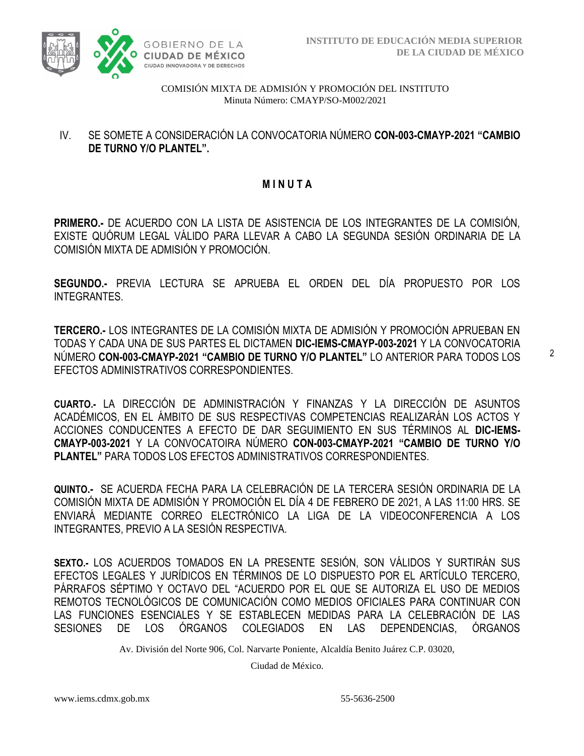

### IV. SE SOMETE A CONSIDERACIÓN LA CONVOCATORIA NÚMERO **CON-003-CMAYP-2021 "CAMBIO DE TURNO Y/O PLANTEL".**

### **M I N U T A**

**PRIMERO.-** DE ACUERDO CON LA LISTA DE ASISTENCIA DE LOS INTEGRANTES DE LA COMISIÓN, EXISTE QUÓRUM LEGAL VÁLIDO PARA LLEVAR A CABO LA SEGUNDA SESIÓN ORDINARIA DE LA COMISIÓN MIXTA DE ADMISIÓN Y PROMOCIÓN.

**SEGUNDO.-** PREVIA LECTURA SE APRUEBA EL ORDEN DEL DÍA PROPUESTO POR LOS INTEGRANTES.

**TERCERO.-** LOS INTEGRANTES DE LA COMISIÓN MIXTA DE ADMISIÓN Y PROMOCIÓN APRUEBAN EN TODAS Y CADA UNA DE SUS PARTES EL DICTAMEN **DIC-IEMS-CMAYP-003-2021** Y LA CONVOCATORIA NÚMERO **CON-003-CMAYP-2021 "CAMBIO DE TURNO Y/O PLANTEL"** LO ANTERIOR PARA TODOS LOS EFECTOS ADMINISTRATIVOS CORRESPONDIENTES.

**CUARTO.-** LA DIRECCIÓN DE ADMINISTRACIÓN Y FINANZAS Y LA DIRECCIÓN DE ASUNTOS ACADÉMICOS, EN EL ÁMBITO DE SUS RESPECTIVAS COMPETENCIAS REALIZARÁN LOS ACTOS Y ACCIONES CONDUCENTES A EFECTO DE DAR SEGUIMIENTO EN SUS TÉRMINOS AL **DIC-IEMS-CMAYP-003-2021** Y LA CONVOCATOIRA NÚMERO **CON-003-CMAYP-2021 "CAMBIO DE TURNO Y/O PLANTEL"** PARA TODOS LOS EFECTOS ADMINISTRATIVOS CORRESPONDIENTES.

**QUINTO.-** SE ACUERDA FECHA PARA LA CELEBRACIÓN DE LA TERCERA SESIÓN ORDINARIA DE LA COMISIÓN MIXTA DE ADMISIÓN Y PROMOCIÓN EL DÍA 4 DE FEBRERO DE 2021, A LAS 11:00 HRS. SE ENVIARÁ MEDIANTE CORREO ELECTRÓNICO LA LIGA DE LA VIDEOCONFERENCIA A LOS INTEGRANTES, PREVIO A LA SESIÓN RESPECTIVA.

**SEXTO.-** LOS ACUERDOS TOMADOS EN LA PRESENTE SESIÓN, SON VÁLIDOS Y SURTIRÁN SUS EFECTOS LEGALES Y JURÍDICOS EN TÉRMINOS DE LO DISPUESTO POR EL ARTÍCULO TERCERO, PÁRRAFOS SÉPTIMO Y OCTAVO DEL "ACUERDO POR EL QUE SE AUTORIZA EL USO DE MEDIOS REMOTOS TECNOLÓGICOS DE COMUNICACIÓN COMO MEDIOS OFICIALES PARA CONTINUAR CON LAS FUNCIONES ESENCIALES Y SE ESTABLECEN MEDIDAS PARA LA CELEBRACIÓN DE LAS SESIONES DE LOS ÓRGANOS COLEGIADOS EN LAS DEPENDENCIAS, ÓRGANOS

Av. División del Norte 906, Col. Narvarte Poniente, Alcaldía Benito Juárez C.P. 03020,

Ciudad de México.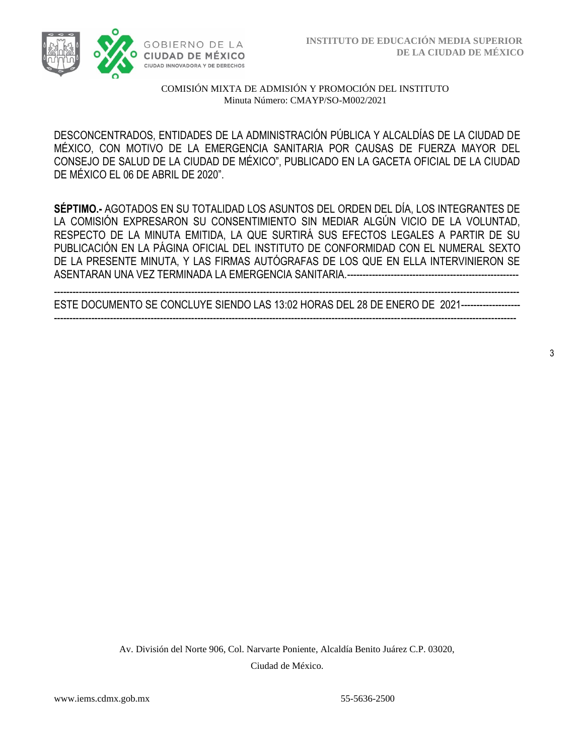

DESCONCENTRADOS, ENTIDADES DE LA ADMINISTRACIÓN PÚBLICA Y ALCALDÍAS DE LA CIUDAD DE MÉXICO, CON MOTIVO DE LA EMERGENCIA SANITARIA POR CAUSAS DE FUERZA MAYOR DEL CONSEJO DE SALUD DE LA CIUDAD DE MÉXICO", PUBLICADO EN LA GACETA OFICIAL DE LA CIUDAD DE MÉXICO EL 06 DE ABRIL DE 2020".

**SÉPTIMO.-** AGOTADOS EN SU TOTALIDAD LOS ASUNTOS DEL ORDEN DEL DÍA, LOS INTEGRANTES DE LA COMISIÓN EXPRESARON SU CONSENTIMIENTO SIN MEDIAR ALGÚN VICIO DE LA VOLUNTAD, RESPECTO DE LA MINUTA EMITIDA, LA QUE SURTIRÁ SUS EFECTOS LEGALES A PARTIR DE SU PUBLICACIÓN EN LA PÁGINA OFICIAL DEL INSTITUTO DE CONFORMIDAD CON EL NUMERAL SEXTO DE LA PRESENTE MINUTA, Y LAS FIRMAS AUTÓGRAFAS DE LOS QUE EN ELLA INTERVINIERON SE ASENTARAN UNA VEZ TERMINADA LA EMERGENCIA SANITARIA.-------------------------------------------------------

----------------------------------------------------------------------------------------------------------------------------------------------------- ESTE DOCUMENTO SE CONCLUYE SIENDO LAS 13:02 HORAS DEL 28 DE ENERO DE 2021------------------- ----------------------------------------------------------------------------------------------------------------------------------------------------

Av. División del Norte 906, Col. Narvarte Poniente, Alcaldía Benito Juárez C.P. 03020, Ciudad de México.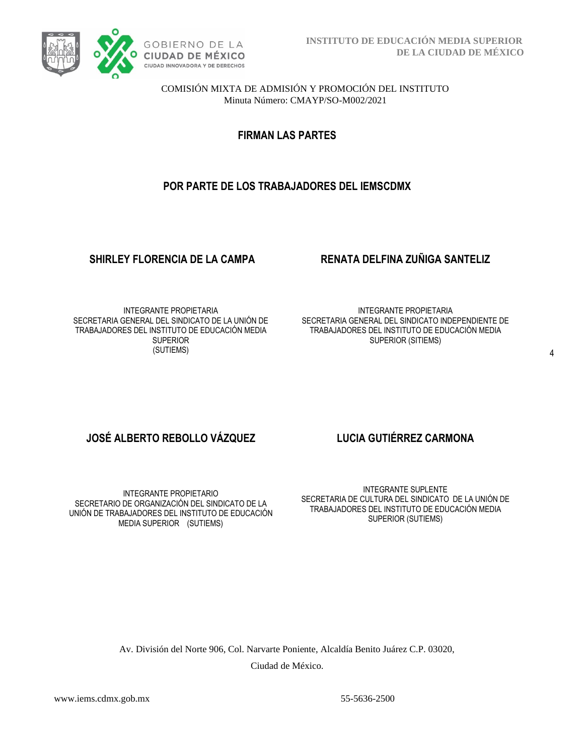

**FIRMAN LAS PARTES**

# **POR PARTE DE LOS TRABAJADORES DEL IEMSCDMX**

### **SHIRLEY FLORENCIA DE LA CAMPA RENATA DELFINA ZUÑIGA SANTELIZ**

INTEGRANTE PROPIETARIA SECRETARIA GENERAL DEL SINDICATO DE LA UNIÓN DE TRABAJADORES DEL INSTITUTO DE EDUCACIÓN MEDIA **SUPERIOR** (SUTIEMS)

INTEGRANTE PROPIETARIA SECRETARIA GENERAL DEL SINDICATO INDEPENDIENTE DE TRABAJADORES DEL INSTITUTO DE EDUCACIÓN MEDIA SUPERIOR (SITIEMS)

# **JOSÉ ALBERTO REBOLLO VÁZQUEZ LUCIA GUTIÉRREZ CARMONA**

INTEGRANTE PROPIETARIO SECRETARIO DE ORGANIZACIÓN DEL SINDICATO DE LA UNIÓN DE TRABAJADORES DEL INSTITUTO DE EDUCACIÓN MEDIA SUPERIOR (SUTIEMS)

INTEGRANTE SUPLENTE SECRETARIA DE CULTURA DEL SINDICATO DE LA UNIÓN DE TRABAJADORES DEL INSTITUTO DE EDUCACIÓN MEDIA SUPERIOR (SUTIEMS)

Av. División del Norte 906, Col. Narvarte Poniente, Alcaldía Benito Juárez C.P. 03020, Ciudad de México.